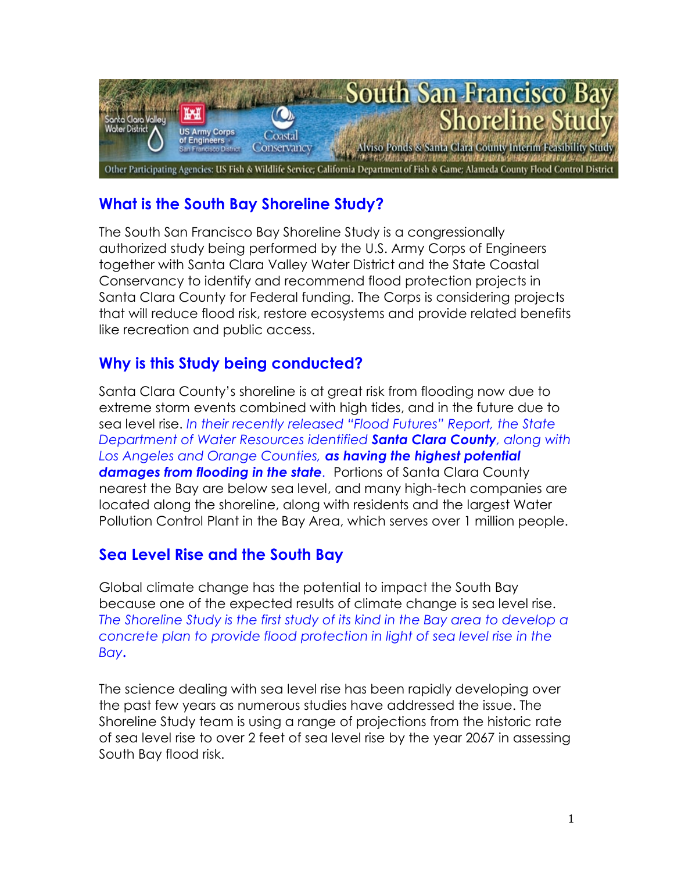

# **What is the South Bay Shoreline Study?**

The South San Francisco Bay Shoreline Study is a congressionally authorized study being performed by the U.S. Army Corps of Engineers together with Santa Clara Valley Water District and the State Coastal Conservancy to identify and recommend flood protection projects in Santa Clara County for Federal funding. The Corps is considering projects that will reduce flood risk, restore ecosystems and provide related benefits like recreation and public access.

### **Why is this Study being conducted?**

Santa Clara County's shoreline is at great risk from flooding now due to extreme storm events combined with high tides, and in the future due to sea level rise. *In their recently released "Flood Futures" Report, the State Department of Water Resources identified Santa Clara County, along with Los Angeles and Orange Counties, as having the highest potential damages from flooding in the state.* Portions of Santa Clara County nearest the Bay are below sea level, and many high-tech companies are located along the shoreline, along with residents and the largest Water Pollution Control Plant in the Bay Area, which serves over 1 million people.

# **Sea Level Rise and the South Bay**

Global climate change has the potential to impact the South Bay because one of the expected results of climate change is sea level rise. *The Shoreline Study is the first study of its kind in the Bay area to develop a concrete plan to provide flood protection in light of sea level rise in the Bay***.**

The science dealing with sea level rise has been rapidly developing over the past few years as numerous studies have addressed the issue. The Shoreline Study team is using a range of projections from the historic rate of sea level rise to over 2 feet of sea level rise by the year 2067 in assessing South Bay flood risk.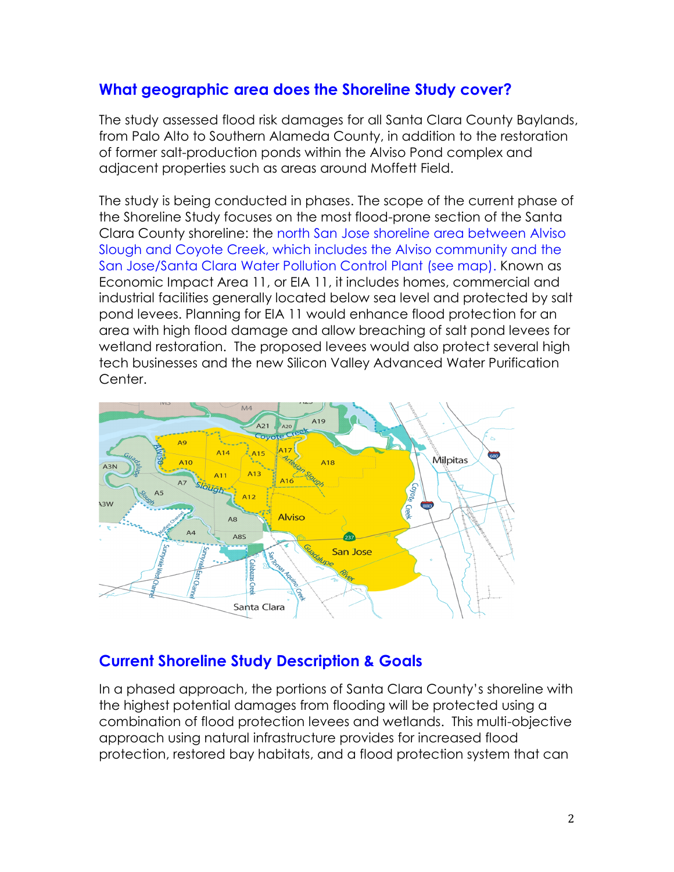### **What geographic area does the Shoreline Study cover?**

The study assessed flood risk damages for all Santa Clara County Baylands, from Palo Alto to Southern Alameda County, in addition to the restoration of former salt-production ponds within the Alviso Pond complex and adjacent properties such as areas around Moffett Field.

The study is being conducted in phases. The scope of the current phase of the Shoreline Study focuses on the most flood-prone section of the Santa Clara County shoreline: the north San Jose shoreline area between Alviso Slough and Coyote Creek, which includes the Alviso community and the San Jose/Santa Clara Water Pollution Control Plant (see map). Known as Economic Impact Area 11, or EIA 11, it includes homes, commercial and industrial facilities generally located below sea level and protected by salt pond levees. Planning for EIA 11 would enhance flood protection for an area with high flood damage and allow breaching of salt pond levees for wetland restoration. The proposed levees would also protect several high tech businesses and the new Silicon Valley Advanced Water Purification Center.



### **Current Shoreline Study Description & Goals**

In a phased approach, the portions of Santa Clara County's shoreline with the highest potential damages from flooding will be protected using a combination of flood protection levees and wetlands. This multi-objective approach using natural infrastructure provides for increased flood protection, restored bay habitats, and a flood protection system that can